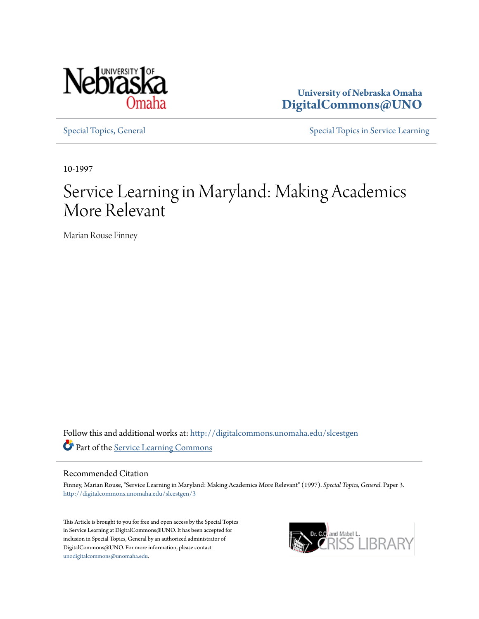

**University of Nebraska Omaha [DigitalCommons@UNO](http://digitalcommons.unomaha.edu?utm_source=digitalcommons.unomaha.edu%2Fslcestgen%2F3&utm_medium=PDF&utm_campaign=PDFCoverPages)**

[Special Topics, General](http://digitalcommons.unomaha.edu/slcestgen?utm_source=digitalcommons.unomaha.edu%2Fslcestgen%2F3&utm_medium=PDF&utm_campaign=PDFCoverPages) [Special Topics in Service Learning](http://digitalcommons.unomaha.edu/slcespecialtopics?utm_source=digitalcommons.unomaha.edu%2Fslcestgen%2F3&utm_medium=PDF&utm_campaign=PDFCoverPages)

10-1997

## Service Learning in Maryland: Making Academics More Relevant

Marian Rouse Finney

Follow this and additional works at: [http://digitalcommons.unomaha.edu/slcestgen](http://digitalcommons.unomaha.edu/slcestgen?utm_source=digitalcommons.unomaha.edu%2Fslcestgen%2F3&utm_medium=PDF&utm_campaign=PDFCoverPages) Part of the [Service Learning Commons](http://network.bepress.com/hgg/discipline/1024?utm_source=digitalcommons.unomaha.edu%2Fslcestgen%2F3&utm_medium=PDF&utm_campaign=PDFCoverPages)

### Recommended Citation

Finney, Marian Rouse, "Service Learning in Maryland: Making Academics More Relevant" (1997). *Special Topics, General.* Paper 3. [http://digitalcommons.unomaha.edu/slcestgen/3](http://digitalcommons.unomaha.edu/slcestgen/3?utm_source=digitalcommons.unomaha.edu%2Fslcestgen%2F3&utm_medium=PDF&utm_campaign=PDFCoverPages)

This Article is brought to you for free and open access by the Special Topics in Service Learning at DigitalCommons@UNO. It has been accepted for inclusion in Special Topics, General by an authorized administrator of DigitalCommons@UNO. For more information, please contact [unodigitalcommons@unomaha.edu](mailto:unodigitalcommons@unomaha.edu).

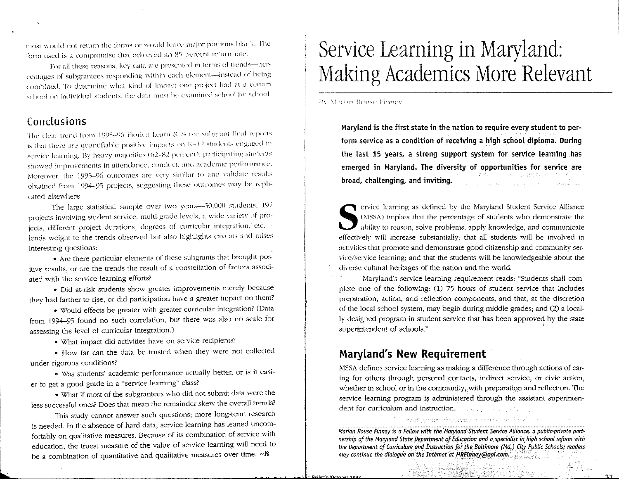most would not return the forms or would leave major portions blank. The form used is a compromise that achieved an 85 percent return rate.

For all these reasons, key data are presented in terms of trends-percentages of subgrantees responding within each element-instead of being combined. To determine what kind of impact one project had at a certain school on individual students, the data must be examined school by school.

### Conclusions

The clear trend from 1995-96 Florida Learn & Serve subgrant final reports is that there are quantifiable positive impacts on K-12 students engaged in service learning. By heavy majorities (62-82 percent), participating students showed improvements in attendance, conduct, and academic performance. Moreover, the 1995-96 outcomes are very similar to and validate results obtained from 1994-95 projects, suggesting these outcomes may be replicated elsewhere.

The large statistical sample over two years-50,000 students. 197 projects involving student service, multi-grade levels, a wide variety of projects, different project durations, degrees of curricular integration, etc.lends weight to the trends observed but also highlights caveats and raises interesting questions:

• Are there particular elements of these subgrants that brought positive results, or are the trends the result of a constellation of factors associated with the service learning efforts?

· Did at-risk students show greater improvements merely because they had farther to rise, or did participation have a greater impact on them?

· Would effects be greater with greater curricular integration? (Data from 1994-95 found no such correlation, but there was also no scale for assessing the level of curricular integration.)

· What impact did activities have on service recipients?

· How far can the data be trusted when they were not collected under rigorous conditions?

· Was students' academic performance actually better, or is it easier to get a good grade in a "service learning" class?

. What if most of the subgrantees who did not submit data were the less successful ones? Does that mean the remainder skew the overall trends?

This study cannot answer such questions; more long-term research is needed. In the absence of hard data, service learning has leaned uncomfortably on qualitative measures. Because of its combination of service with education, the truest measure of the value of service learning will need to be a combination of quantitative and qualitative measures over time.  $\neg B$ 

# Service Learning in Maryland: Making Academics More Relevant

**By Mailin Rouse Finney** 

Maryland is the first state in the nation to require every student to perform service as a condition of receiving a high school diploma. During the last 15 years, a strong support system for service learning has emerged in Maryland. The diversity of opportunities for service are 学院 (1998) (1998) 2007年10月 broad, challenging, and inviting. and the company of the company of the company of the company of the company of the company of the company of the company of the company of the company of the company of the company of the company of the company of the comp

ervice learning as defined by the Maryland Student Service Alliance (MSSA) implies that the percentage of students who demonstrate the ability to reason, solve problems, apply knowledge, and communicate effectively will increase substantially: that all students will be involved in activities that promote and demonstrate good citizenship and community service/service learning; and that the students will be knowledgeable about the diverse cultural heritages of the nation and the world.

Maryland's service learning requirement reads: "Students shall complete one of the following: (1) 75 hours of student service that includes preparation, action, and reflection components, and that, at the discretion of the local school system, may begin during middle grades; and (2) a locally designed program in student service that has been approved by the state superintendent of schools."

### **Maryland's New Requirement**

MSSA defines service learning as making a difference through actions of caring for others through personal contacts, indirect service, or civic action, whether in school or in the community, with preparation and reflection. The service learning program is administered through the assistant superintendent for curriculum and instruction.

med grittenshed zdzie in nem han beech.

製学会会

Marian Rouse Finney is a Fellow with the Maryland Student Service Alliance, a public-private partnership of the Maryland State Department of Education and a specialist in high school reform with the Department of Curriculum and Instruction for the Baltimore (Md.) City Public Schools; readers may continue the dialogue on the Internet at MRFinney@aol.com.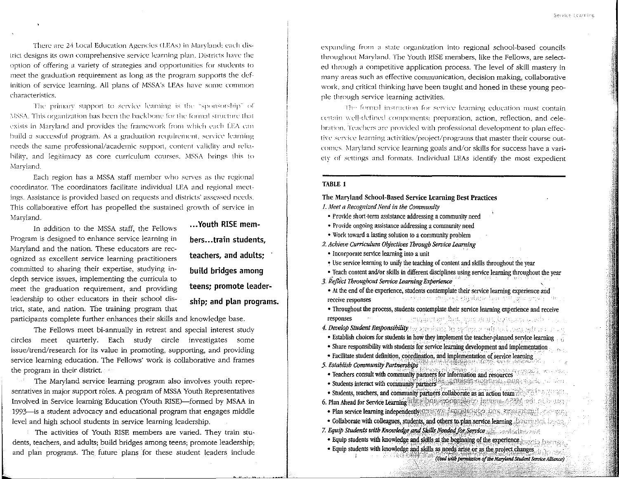There are 24 Local Education Agencies (LEAs) in Marvland; each district designs its own comprehensive service learning plan. Districts have the option of offering a variety of strategies and opportunities for students to meet the graduation requirement as long as the program supports the definition of service learning. All plans of MSSA's LEAs have some common characteristics.

The primary support to service learning is the "sponsorship" of MSSA. This organization has been the backbone for the formal structure that exists in Maryland and provides the framework from which each LEA can build a successful program. As a graduation requirement, service learning needs the same professional/academic support, content validity and reliability, and legitimacy as core curriculum courses. MSSA brings this to Maryland.

Each region has a MSSA staff member who serves as the regional coordinator. The coordinators facilitate individual LEA and regional meetings. Assistance is provided based on requests and districts' assessed needs. This collaborative effort has propelled the sustained growth of service in Maryland.

In addition to the MSSA staff, the Fellows Program is designed to enhance service learning in Maryland and the nation. These educators are recognized as excellent service learning practitioners committed to sharing their expertise, studying indepth service issues, implementing the curricula to meet the graduation requirement, and providing leadership to other educators in their school district, state, and nation. The training program that

... Youth RISE members...train students. teachers, and adults; build bridges among teens: promote leadership; and plan programs.

participants complete further enhances their skills and knowledge base.

The Fellows meet bi-annually in retreat and special interest study circles meet quarterly. Each study circle investigates some issue/trend/research for its value in promoting, supporting, and providing service learning education. The Fellows' work is collaborative and frames the program in their district.

The Maryland service learning program also involves youth representatives in major support roles. A program of MSSA Youth Representatives Involved in Service learning Education (Youth RISE)—formed by MSAA in 1993 is a student advocacy and educational program that engages middle level and high school students in service learning leadership.

The activities of Youth RISE members are varied. They train students, teachers, and adults; build bridges among teens; promote leadership; and plan programs. The future plans for these student leaders include expanding from a state organization into regional school-based councils throughout Maryland. The Youth RISE members, like the Fellows, are selected through a competitive application process. The level of skill mastery in many areas such as effective communication, decision making, collaborative work, and critical thinking have been taught and honed in these young people through service learning activities.

The formal instruction for service learning education must contain certain well-defined components: preparation, action, reflection, and celebration. Teachers are provided with professional development to plan effective service learning activities/project/programs that master their course outcomes. Maryland service learning goals and/or skills for success have a variety of settings and formats. Individual LEAs identify the most expedient

#### TABLE 1

The Maryland School-Based Service Learning Best Practices

- 1. Meet a Recognized Need in the Community
- Provide short-term assistance addressing a community need
- Provide ongoing assistance addressing a community need
- · Work toward a lasting solution to a community problem
- 2. Achieve Curriculum Objectives Through Service Learning
- · Incorporate service learning into a unit
- Use service learning to unify the teaching of content and skills throughout the year
- Teach content and/or skills in different disciplines using service learning throughout the year
- 3. Reflect Throughout Service Learning Experience
- At the end of the experience, students contemplate their service learning experience and e e cepsiment ambay, mydame har till glacyna'r cintr receive responses
- · Throughout the process, students contemplate their service learning experience and receive or guianter has any minders as waitresponses
- 4. Develop Student Responsibility for agreements for residence and state residence and the company
- Establish choices for students in how they implement the teacher-planned service learning
- · Share responsibility with students for service learning development and implementation
- · Facilitate student definition, coordination, and implementation of service learning
- 5. Establish Community Partnershibs
- Teachers consult with community partners for information and resources
- Students interact with community partners and the state of the state of the state of the state of the
- Students, teachers, and community partners collaborate as an action team 6. Plan Ahead for Service Learning and Santa Contract of the Hamilton of the Local School of the Local School · Plan service learning independently assessment and provide a constraint the constraint
- Collaborate with colleagues, students, and others to plan service learning the strategic in the
- 7. Equip Students with Knowledge and Skills Needed for Service
- Equip students with knowledge and skills at the beginning of the experience
- · Equip students with knowledge and skills as needs arise or as the project changes **DESCRIPTION**

(Used with permission of the Maryland Student Service Alliance)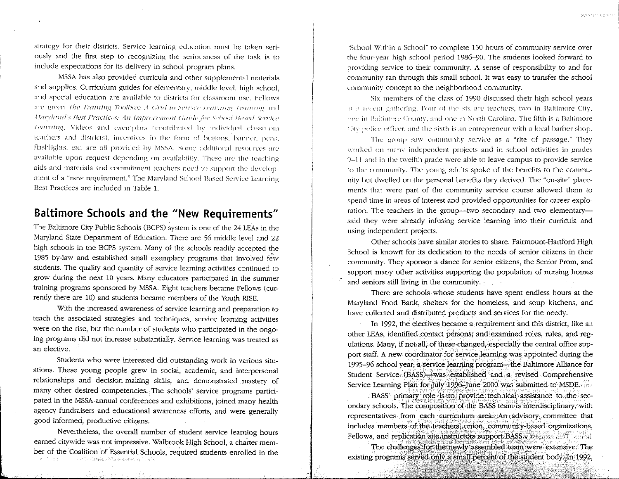strategy for their districts. Service learning education must be taken seriously and the first step to recognizing the seriousness of the task is to include expectations for its delivery in school program plans.

MSSA has also provided curricula and other supplemental materials and supplies. Curriculum guides for elementary, middle level, high school. and special education are available to districts for classroom use. Fellows are given The Training Toolbox: A Grid to Service Learning Training and Maryland's Best Practices: An Improvement Guide for School Based Service learning. Videos and exemplars (contributed by individual classroom teachers and districts), incentives in the form of buttons, banner, pens, flashlights, etc. are all provided by MSSA. Some additional resources are available upon request depending on availability. These are the teaching aids and materials and commitment teachers need to support the development of a "new requirement." The Maryland School-Based Service Learning Best Practices are included in Table 1.

## Baltimore Schools and the "New Requirements"

The Baltimore City Public Schools (BCPS) system is one of the 24 LEAs in the Maryland State Department of Education. There are 56 middle level and 22 high schools in the BCPS system. Many of the schools readily accepted the 1985 by-law and established small exemplary programs that involved few students. The quality and quantity of service learning activities continued to grow during the next 10 years. Many educators participated in the summer training programs sponsored by MSSA. Eight teachers became Fellows (currently there are 10) and students became members of the Youth RISE.

With the increased awareness of service learning and preparation to teach the associated strategies and techniques, service learning activities were on the rise, but the number of students who participated in the ongoing programs did not increase substantially. Service learning was treated as an elective.

Students who were interested did outstanding work in various situations. These young people grew in social, academic, and interpersonal relationships and decision-making skills, and demonstrated mastery of many other desired competencies. The schools' service programs participated in the MSSA annual conferences and exhibitions, joined many health agency fundraisers and educational awareness efforts, and were generally good informed, productive citizens.

Nevertheless, the overall number of student service learning hours earned citywide was not impressive. Walbrook High School, a charter member of the Coalition of Essential Schools, required students enrolled in the  $\mathbb{R}^{n+1} \times \mathbb{R}^{n}$  is a largely confident of the second section of  $\mathbb{R}^{n+1}$ See Story Box

"School Within a School" to complete 150 hours of community service over the four-year high school period 1986–90. The students looked forward to providing service to their community. A sense of responsibility to and for community ran through this small school. It was easy to transfer the school community concept to the neighborhood community.

Service ceaster

Six members of the class of 1990 discussed their high school years at a revent gathering. Four of the six are teachers, two in Baltimore City, one in Baltimore County, and one in North Carolina. The fifth is a Baltimore Giv police officer, and the sixth is an entrepreneur with a local barber shop.

The group saw community service as a "rite of passage." They worked on many independent projects and in school activities in grades 9-11 and in the twelfth grade were able to leave campus to provide service to the community. The young adults spoke of the benefits to the community but dwelled on the personal benefits they derived. The "on-site" placements that were part of the community service course allowed them to spend time in areas of interest and provided opportunities for career exploration. The teachers in the group---two secondary and two elementarysaid they were already infusing service learning into their curricula and using independent projects.

Other schools have similar stories to share. Fairmount-Hartford High School is known for its dedication to the needs of senior citizens in their community. They sponsor a dance for senior citizens, the Senior Prom, and support many other activities supporting the population of nursing homes and seniors still living in the community.

There are schools whose students have spent endless hours at the Maryland Food Bank, shelters for the homeless, and soup kitchens, and have collected and distributed products and services for the needy.

In 1992, the electives became a requirement and this district, like all other LEAs, identified contact persons, and examined roles, rules, and regulations. Many, if not all, of these changed, especially the central office support staff. A new coordinator for service learning was appointed during the 1995–96 school year; a service learning program—the Baltimore Alliance for Student Service (BASS)—was established and a revised Comprehensive Service Learning Plan for July 1996 June 2000 was submitted to MSDE.

: BASS' primary role is to provide technical assistance to the secondary schools. The composition of the BASS team is interdisciplinary, with representatives from each curriculum area. An advisory committee that includes members of the teachers union, community-based organizations, Fellows, and replication site instructors support BASS. Figures and replication

The challenges for the newly assembled team were extensive. The existing programs served only a small percent of the student body. In 1992,